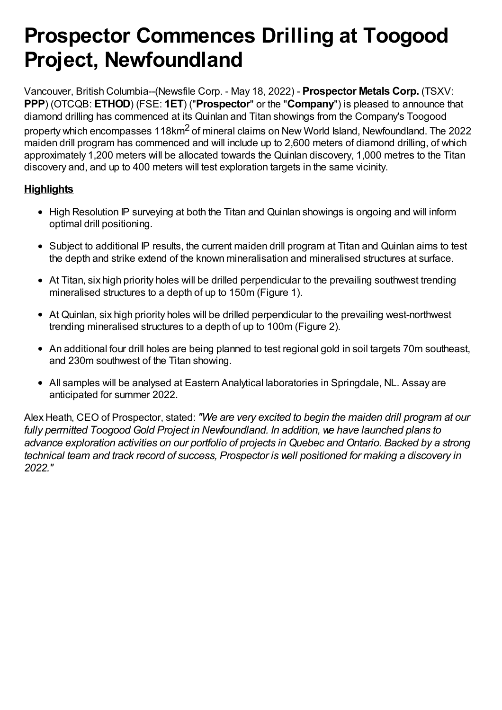# **Prospector Commences Drilling at Toogood Project, Newfoundland**

Vancouver, British Columbia--(Newsfile Corp. - May 18, 2022) - **Prospector Metals Corp.** (TSXV: **PPP**) (OTCQB: **ETHOD**) (FSE: **1ET**) ("**Prospector**" or the "**Company**") is pleased to announce that diamond drilling has commenced at its Quinlan and Titan showings from the Company's Toogood property which encompasses 118km<sup>2</sup> of mineral claims on New World Island, Newfoundland. The 2022 maiden drill program has commenced and will include up to 2,600 meters of diamond drilling, of which approximately 1,200 meters will be allocated towards the Quinlan discovery, 1,000 metres to the Titan discovery and, and up to 400 meters will test exploration targets in the same vicinity.

# **Highlights**

- High Resolution IP surveying at both the Titan and Quinlan showings is ongoing and will inform optimal drill positioning.
- Subject to additional IP results, the current maiden drill program at Titan and Quinlan aims to test the depth and strike extend of the known mineralisation and mineralised structures at surface.
- At Titan, six high priority holes will be drilled perpendicular to the prevailing southwest trending mineralised structures to a depth of up to 150m (Figure 1).
- At Quinlan, six high priority holes will be drilled perpendicular to the prevailing west-northwest trending mineralised structures to a depth of up to 100m (Figure 2).
- An additional four drill holes are being planned to test regional gold in soil targets 70m southeast, and 230m southwest of the Titan showing.
- All samples will be analysed at Eastern Analytical laboratories in Springdale, NL. Assay are anticipated for summer 2022.

Alex Heath, CEO of Prospector, stated: *"We are very excited to begin the maiden drill program at our fully permitted Toogood Gold Project in Newfoundland. In addition, we have launched plans to advance exploration activities on our portfolio of projects in Quebec and Ontario. Backed by a strong technical team and track record of success, Prospector is well positioned for making a discovery in 2022."*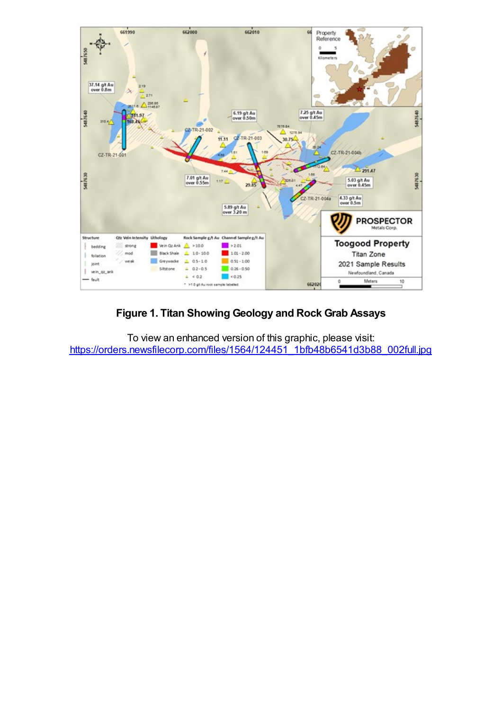

## **Figure 1. Titan Showing Geology and Rock Grab Assays**

To view an enhanced version of this graphic, please visit: https://orders.newsfilecorp.com/files/1564/124451\_1bfb48b6541d3b88\_002full.jpg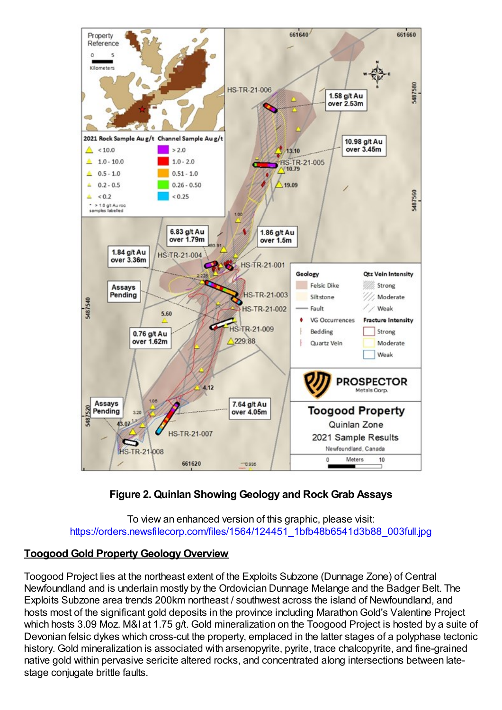

# **Figure 2. Quinlan Showing Geology and Rock Grab Assays**

#### To view an enhanced version of this graphic, please visit: https://orders.newsfilecorp.com/files/1564/124451\_1bfb48b6541d3b88\_003full.jpg

## **Toogood Gold Property Geology Overview**

Toogood Project lies at the northeast extent of the Exploits Subzone (Dunnage Zone) of Central Newfoundland and is underlain mostly by the Ordovician Dunnage Melange and the Badger Belt. The Exploits Subzone area trends 200km northeast / southwest across the island of Newfoundland, and hosts most of the significant gold deposits in the province including Marathon Gold's Valentine Project which hosts 3.09 Moz. M&I at 1.75 g/t. Gold mineralization on the Toogood Project is hosted by a suite of Devonian felsic dykes which cross-cut the property, emplaced in the latter stages of a polyphase tectonic history. Gold mineralization is associated with arsenopyrite, pyrite, trace chalcopyrite, and fine-grained native gold within pervasive sericite altered rocks, and concentrated along intersections between latestage conjugate brittle faults.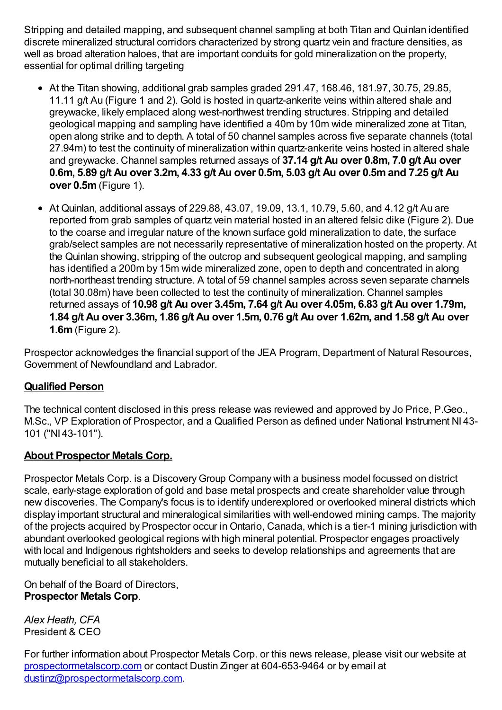Stripping and detailed mapping, and subsequent channel sampling at both Titan and Quinlan identified discrete mineralized structural corridors characterized by strong quartz vein and fracture densities, as well as broad alteration haloes, that are important conduits for gold mineralization on the property, essential for optimal drilling targeting

- At the Titan showing, additional grab samples graded 291.47, 168.46, 181.97, 30.75, 29.85, 11.11 g/t Au (Figure 1 and 2). Gold is hosted in quartz-ankerite veins within altered shale and greywacke, likely emplaced along west-northwest trending structures. Stripping and detailed geological mapping and sampling have identified a 40m by 10m wide mineralized zone at Titan, open along strike and to depth. A total of 50 channel samples across five separate channels (total 27.94m) to test the continuity of mineralization within quartz-ankerite veins hosted in altered shale and greywacke. Channel samples returned assays of **37.14 g/t Au over 0.8m, 7.0 g/t Au over 0.6m, 5.89 g/t Au over 3.2m, 4.33 g/t Au over 0.5m, 5.03 g/t Au over 0.5mand 7.25 g/t Au over 0.5m**(Figure 1).
- $\bullet$  At Quinlan, additional assays of 229.88, 43.07, 19.09, 13.1, 10.79, 5.60, and 4.12 g/t Au are reported from grab samples of quartz vein material hosted in an altered felsic dike (Figure 2). Due to the coarse and irregular nature of the known surface gold mineralization to date, the surface grab/select samples are not necessarily representative of mineralization hosted on the property. At the Quinlan showing, stripping of the outcrop and subsequent geological mapping, and sampling has identified a 200m by 15m wide mineralized zone, open to depth and concentrated in along north-northeast trending structure. A total of 59 channel samples across seven separate channels (total 30.08m) have been collected to test the continuity of mineralization. Channel samples returned assays of **10.98 g/t Au over 3.45m, 7.64 g/t Au over 4.05m, 6.83 g/t Au over 1.79m,** 1.84 g/t Au over 3.36m, 1.86 g/t Au over 1.5m, 0.76 g/t Au over 1.62m, and 1.58 g/t Au over **1.6m**(Figure 2).

Prospector acknowledges the financial support of the JEA Program, Department of Natural Resources, Government of Newfoundland and Labrador.

# **Qualified Person**

The technical content disclosed in this press release was reviewed and approved by Jo Price, P.Geo., M.Sc., VP Exploration of Prospector, and a Qualified Person as defined under National Instrument NI 43- 101 ("NI 43-101").

## **About Prospector Metals Corp.**

Prospector Metals Corp. is a Discovery Group Company with a business model focussed on district scale, early-stage exploration of gold and base metal prospects and create shareholder value through new discoveries. The Company's focus is to identify underexplored or overlooked mineral districts which display important structural and mineralogical similarities with well-endowed mining camps. The majority of the projects acquired by Prospector occur inOntario, Canada, which is a tier-1 mining jurisdiction with abundant overlooked geological regions with high mineral potential. Prospector engages proactively with local and Indigenous rightsholders and seeks to develop relationships and agreements that are mutually beneficial to all stakeholders.

On behalf of the Board of Directors, **Prospector Metals Corp**.

*Alex Heath, CFA* President & CEO

For further information about Prospector Metals Corp. or this news release, please visit our website at prospectormetalscorp.com or contact Dustin Zinger at 604-653-9464 or by email at dustinz@prospectormetalscorp.com.